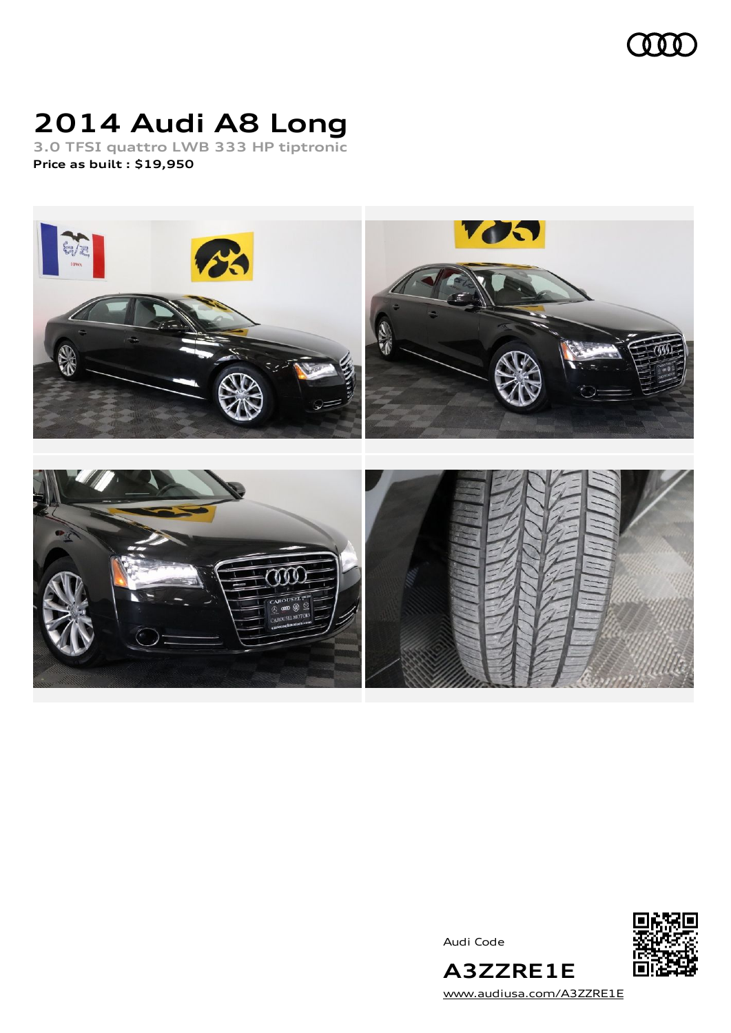

# **2014 Audi A8 Long**

**3.0 TFSI quattro LWB 333 HP tiptronic Price as built [:](#page-9-0) \$19,950**



Audi Code



[www.audiusa.com/A3ZZRE1E](https://www.audiusa.com/A3ZZRE1E)

**A3ZZRE1E**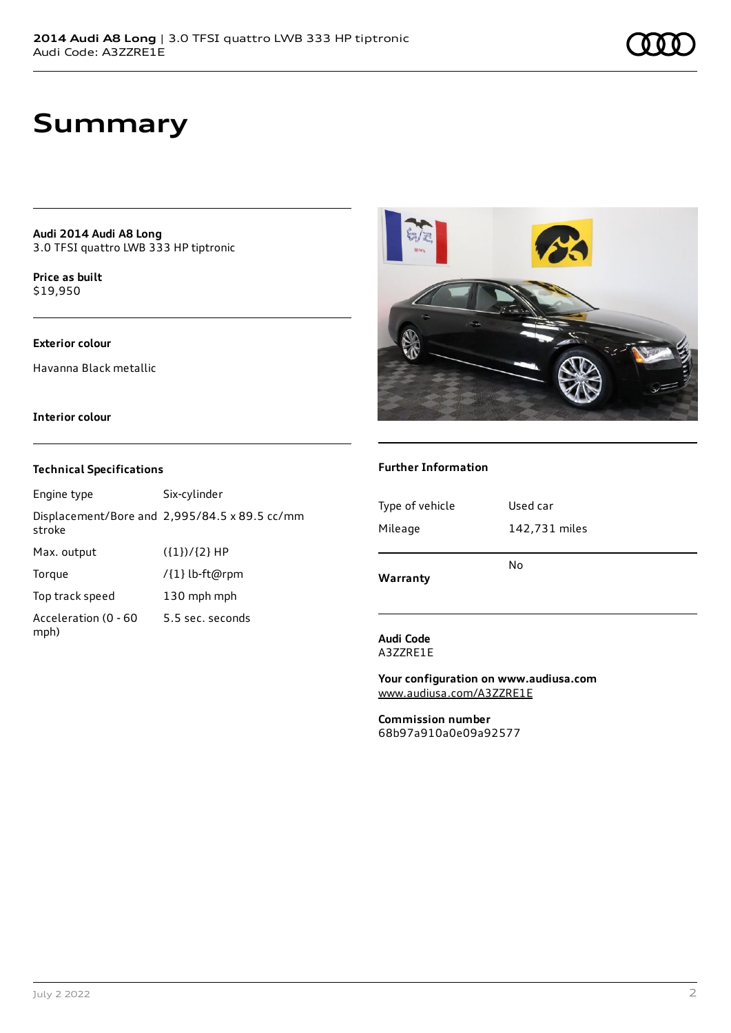## **Summary**

**Audi 2014 Audi A8 Long** 3.0 TFSI quattro LWB 333 HP tiptronic

**Price as buil[t](#page-9-0)** \$19,950

### **Exterior colour**

Havanna Black metallic

#### **Interior colour**

#### **Technical Specifications**

Engine type Six-cylinder Displacement/Bore and 2,995/84.5 x 89.5 cc/mm stroke Max. output  $({1})/{2}$  HP Torque /{1} lb-ft@rpm Top track speed 130 mph mph Acceleration (0 - 60 mph) 5.5 sec. seconds



### **Further Information**

| Type of vehicle | Used car      |
|-----------------|---------------|
| Mileage         | 142,731 miles |
| Warranty        | No            |

#### **Audi Code** A3ZZRE1E

**Your configuration on www.audiusa.com** [www.audiusa.com/A3ZZRE1E](https://www.audiusa.com/A3ZZRE1E)

**Commission number** 68b97a910a0e09a92577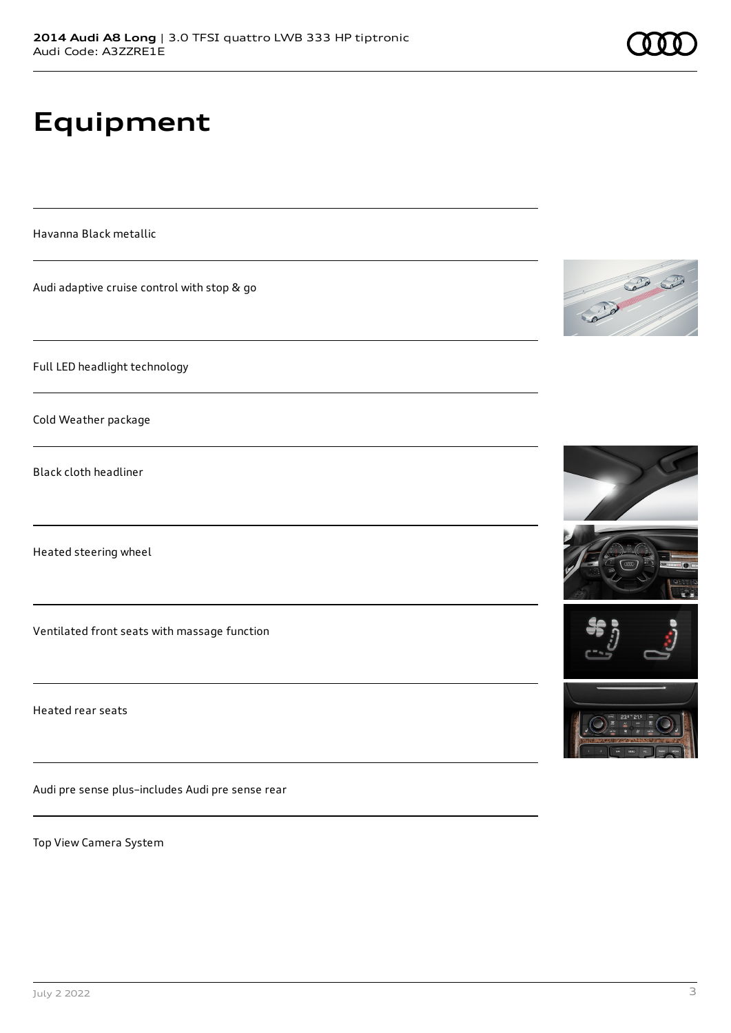# **Equipment**

Havanna Black metallic

Audi adaptive cruise control with stop & go

Full LED headlight technology

Cold Weather package

Black cloth headliner

Heated steering wheel

Ventilated front seats with massage function

Heated rear seats

Audi pre sense plus–includes Audi pre sense rear

Top View Camera System





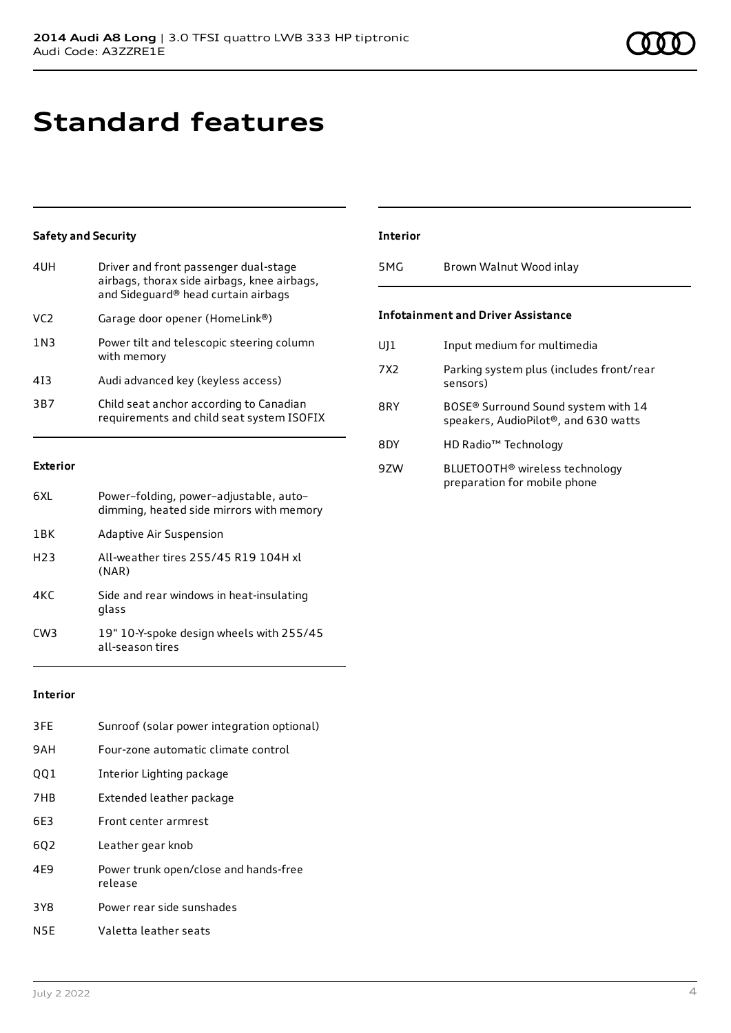## **Standard features**

### **Safety and Security**

| 4UH             | Driver and front passenger dual-stage<br>airbags, thorax side airbags, knee airbags,<br>and Sideguard® head curtain airbags |
|-----------------|-----------------------------------------------------------------------------------------------------------------------------|
| VC <sub>2</sub> | Garage door opener (HomeLink®)                                                                                              |
| 1N3             | Power tilt and telescopic steering column<br>with memory                                                                    |
| 413             | Audi advanced key (keyless access)                                                                                          |
| 3B7             | Child seat anchor according to Canadian<br>requirements and child seat system ISOFIX                                        |

### **Exterior**

| 6XI              | Power-folding, power-adjustable, auto-<br>dimming, heated side mirrors with memory |
|------------------|------------------------------------------------------------------------------------|
| 1 <sub>RK</sub>  | Adaptive Air Suspension                                                            |
| H <sub>2</sub> 3 | All-weather tires 255/45 R19 104H xl<br>(NAR)                                      |
| 4KC              | Side and rear windows in heat-insulating<br>glass                                  |
| CW <sub>3</sub>  | 19" 10-Y-spoke design wheels with 255/45<br>all-season tires                       |

### **Interior**

| 3FE | Sunroof (solar power integration optional)       |
|-----|--------------------------------------------------|
| 9AH | Four-zone automatic climate control              |
| 001 | Interior Lighting package                        |
| 7HB | Extended leather package                         |
| 6E3 | Front center armrest                             |
| 602 | Leather gear knob                                |
| 4E9 | Power trunk open/close and hands-free<br>release |
| 3Y8 | Power rear side sunshades                        |
| N5E | Valetta leather seats                            |

### **Interior**

5MG Brown Walnut Wood inlay

### **Infotainment and Driver Assistance**

| UJ1             | Input medium for multimedia                                                             |
|-----------------|-----------------------------------------------------------------------------------------|
| 7X <sub>2</sub> | Parking system plus (includes front/rear<br>sensors)                                    |
| 8RY             | BOSE <sup>®</sup> Surround Sound system with 14<br>speakers, AudioPilot®, and 630 watts |
| 8DY             | HD Radio <sup>™</sup> Technology                                                        |
| 9ZW             | BLUETOOTH® wireless technology<br>preparation for mobile phone                          |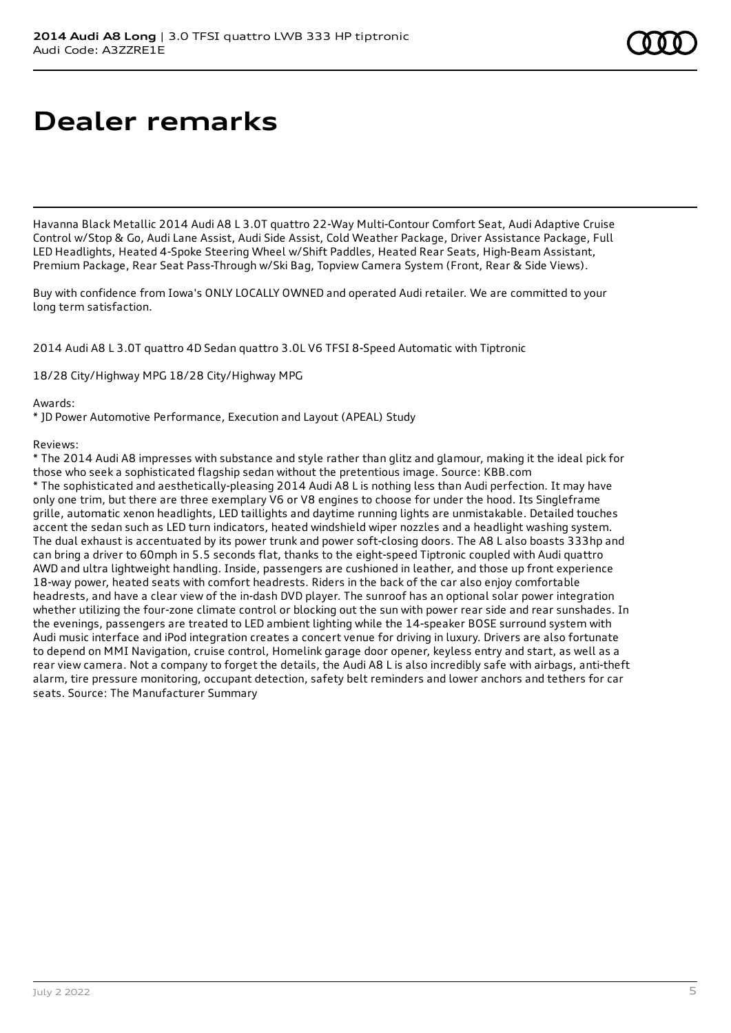## **Dealer remarks**

Havanna Black Metallic 2014 Audi A8 L 3.0T quattro 22-Way Multi-Contour Comfort Seat, Audi Adaptive Cruise Control w/Stop & Go, Audi Lane Assist, Audi Side Assist, Cold Weather Package, Driver Assistance Package, Full LED Headlights, Heated 4-Spoke Steering Wheel w/Shift Paddles, Heated Rear Seats, High-Beam Assistant, Premium Package, Rear Seat Pass-Through w/Ski Bag, Topview Camera System (Front, Rear & Side Views).

Buy with confidence from Iowa's ONLY LOCALLY OWNED and operated Audi retailer. We are committed to your long term satisfaction.

2014 Audi A8 L 3.0T quattro 4D Sedan quattro 3.0L V6 TFSI 8-Speed Automatic with Tiptronic

18/28 City/Highway MPG 18/28 City/Highway MPG

Awards:

\* JD Power Automotive Performance, Execution and Layout (APEAL) Study

Reviews:

\* The 2014 Audi A8 impresses with substance and style rather than glitz and glamour, making it the ideal pick for those who seek a sophisticated flagship sedan without the pretentious image. Source: KBB.com \* The sophisticated and aesthetically-pleasing 2014 Audi A8 L is nothing less than Audi perfection. It may have only one trim, but there are three exemplary V6 or V8 engines to choose for under the hood. Its Singleframe grille, automatic xenon headlights, LED taillights and daytime running lights are unmistakable. Detailed touches accent the sedan such as LED turn indicators, heated windshield wiper nozzles and a headlight washing system. The dual exhaust is accentuated by its power trunk and power soft-closing doors. The A8 L also boasts 333hp and can bring a driver to 60mph in 5.5 seconds flat, thanks to the eight-speed Tiptronic coupled with Audi quattro AWD and ultra lightweight handling. Inside, passengers are cushioned in leather, and those up front experience 18-way power, heated seats with comfort headrests. Riders in the back of the car also enjoy comfortable headrests, and have a clear view of the in-dash DVD player. The sunroof has an optional solar power integration whether utilizing the four-zone climate control or blocking out the sun with power rear side and rear sunshades. In the evenings, passengers are treated to LED ambient lighting while the 14-speaker BOSE surround system with Audi music interface and iPod integration creates a concert venue for driving in luxury. Drivers are also fortunate to depend on MMI Navigation, cruise control, Homelink garage door opener, keyless entry and start, as well as a rear view camera. Not a company to forget the details, the Audi A8 L is also incredibly safe with airbags, anti-theft alarm, tire pressure monitoring, occupant detection, safety belt reminders and lower anchors and tethers for car seats. Source: The Manufacturer Summary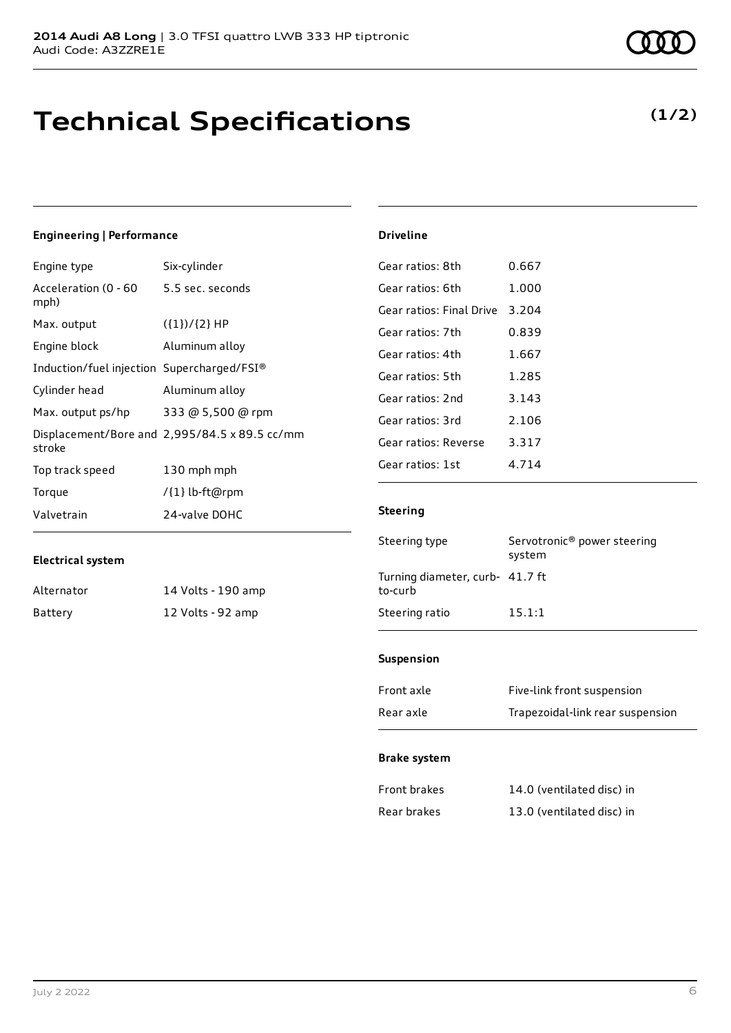## **Technical Specifications**

### **Engineering | Performance**

| Engine type                                | Six-cylinder                                  |
|--------------------------------------------|-----------------------------------------------|
| Acceleration (0 - 60<br>mph)               | 5.5 sec. seconds                              |
| Max. output                                | $({1})/{2}$ HP                                |
| Engine block                               | Aluminum alloy                                |
| Induction/fuel injection Supercharged/FSI® |                                               |
| Cylinder head                              | Aluminum alloy                                |
| Max. output ps/hp                          | 333 @ 5,500 @ rpm                             |
| stroke                                     | Displacement/Bore and 2,995/84.5 x 89.5 cc/mm |
| Top track speed                            | 130 mph mph                                   |
| Torque                                     | /{1} lb-ft@rpm                                |
| Valvetrain                                 | 24-valve DOHC                                 |

#### **Electrical system**

| Alternator | 14 Volts - 190 amp |
|------------|--------------------|
| Battery    | 12 Volts - 92 amp  |

| Gear ratios: 8th         | 0.667   |
|--------------------------|---------|
| Gear ratios: 6th         | 1.000   |
| Gear ratios: Final Drive | 3.204   |
| Gear ratios: 7th         | 0.839   |
| Gear ratios: 4th         | 1.667   |
| Gear ratios: 5th         | 1.285   |
| Gear ratios: 2nd         | 3.143   |
| Gear ratios: 3rd         | 2.106   |
| Gear ratios: Reverse     | 3.317   |
| Gear ratios: 1st         | 4 7 1 4 |

### **Steering**

**Driveline**

| Steering type                              | Servotronic <sup>®</sup> power steering<br>system |
|--------------------------------------------|---------------------------------------------------|
| Turning diameter, curb- 41.7 ft<br>to-curb |                                                   |
| Steering ratio                             | 15.1:1                                            |

#### **Suspension**

| Front axle | Five-link front suspension       |
|------------|----------------------------------|
| Rear axle  | Trapezoidal-link rear suspension |

### **Brake system**

| Front brakes | 14.0 (ventilated disc) in |
|--------------|---------------------------|
| Rear brakes  | 13.0 (ventilated disc) in |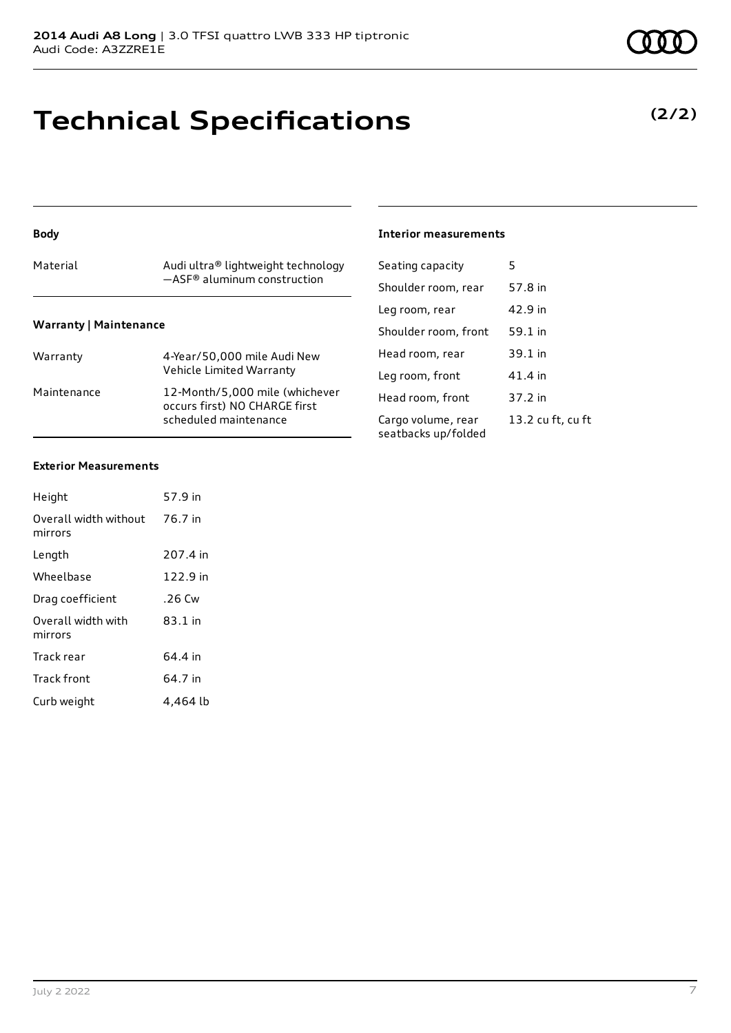# **Technical Specifications**

#### **Body**

| Material                      | Audi ultra® lightweight technology<br>$-$ ASF <sup>®</sup> aluminum construction |
|-------------------------------|----------------------------------------------------------------------------------|
| <b>Warranty   Maintenance</b> |                                                                                  |
| Warranty                      | 4-Year/50,000 mile Audi New<br>Vehicle Limited Warranty                          |

|             | vernete Entired vvarianty                                                                |
|-------------|------------------------------------------------------------------------------------------|
| Maintenance | 12-Month/5.000 mile (whichever<br>occurs first) NO CHARGE first<br>scheduled maintenance |
|             |                                                                                          |

### **Interior measurements**

| Seating capacity                          | 5                 |
|-------------------------------------------|-------------------|
| Shoulder room, rear                       | 57.8 in           |
| Leg room, rear                            | 42.9 in           |
| Shoulder room, front                      | 59.1 in           |
| Head room, rear                           | 39.1 in           |
| Leg room, front                           | 41.4 in           |
| Head room, front                          | 37.2 in           |
| Cargo volume, rear<br>seatbacks up/folded | 13.2 cu ft, cu ft |

### **Exterior Measurements**

| Height                           | 57.9 in  |
|----------------------------------|----------|
| Overall width without<br>mirrors | 76.7 in  |
| Length                           | 207.4 in |
| Wheelbase                        | 122.9 in |
| Drag coefficient                 | .26 Cw   |
| Overall width with<br>mirrors    | 83.1 in  |
| Track rear                       | 64.4 in  |
| Track front                      | 64.7 in  |
| Curb weight                      | 4.464 lb |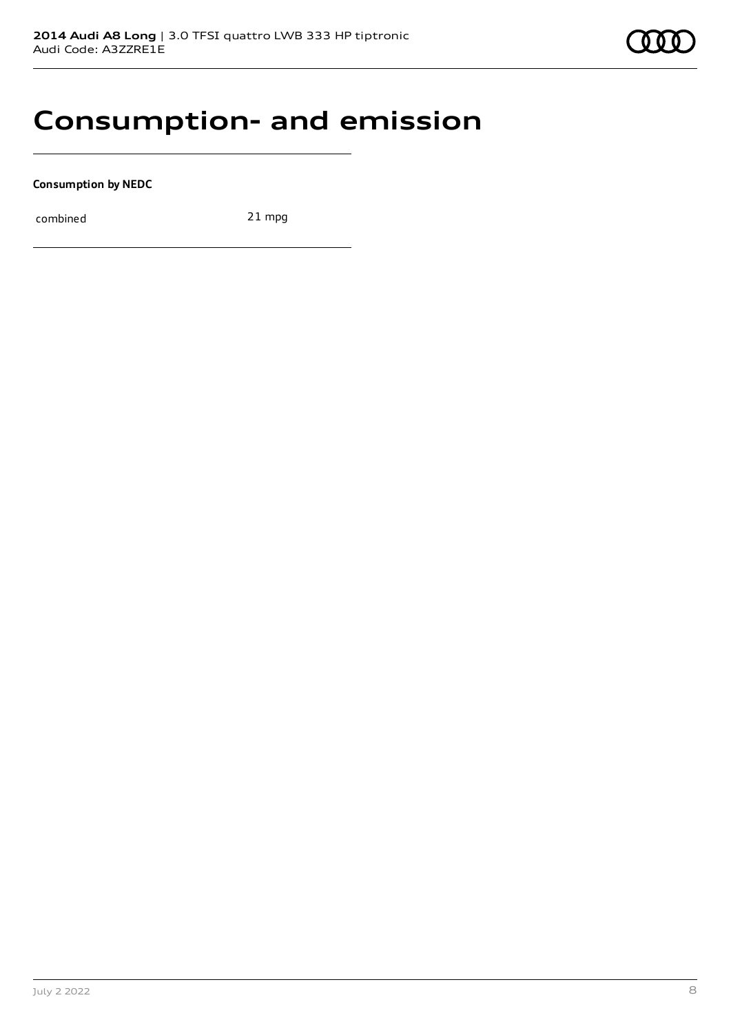### **Consumption- and emission**

**Consumption by NEDC**

combined 21 mpg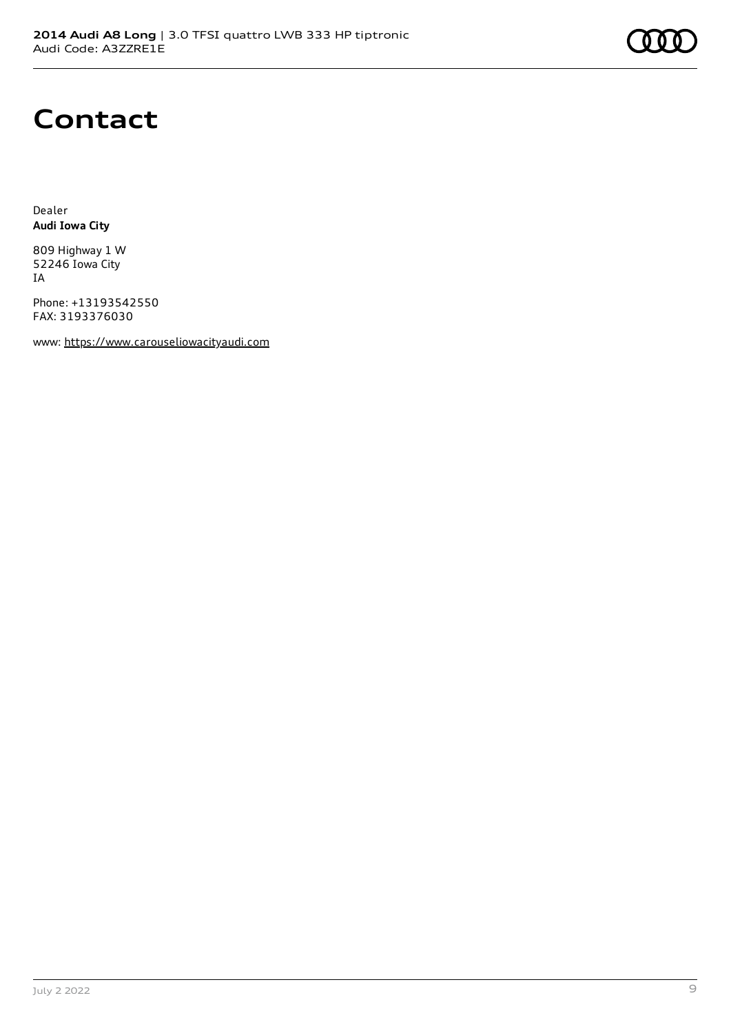

## **Contact**

Dealer **Audi Iowa City**

809 Highway 1 W 52246 Iowa City IA

Phone: +13193542550 FAX: 3193376030

www: [https://www.carouseliowacityaudi.com](https://www.carouseliowacityaudi.com/)